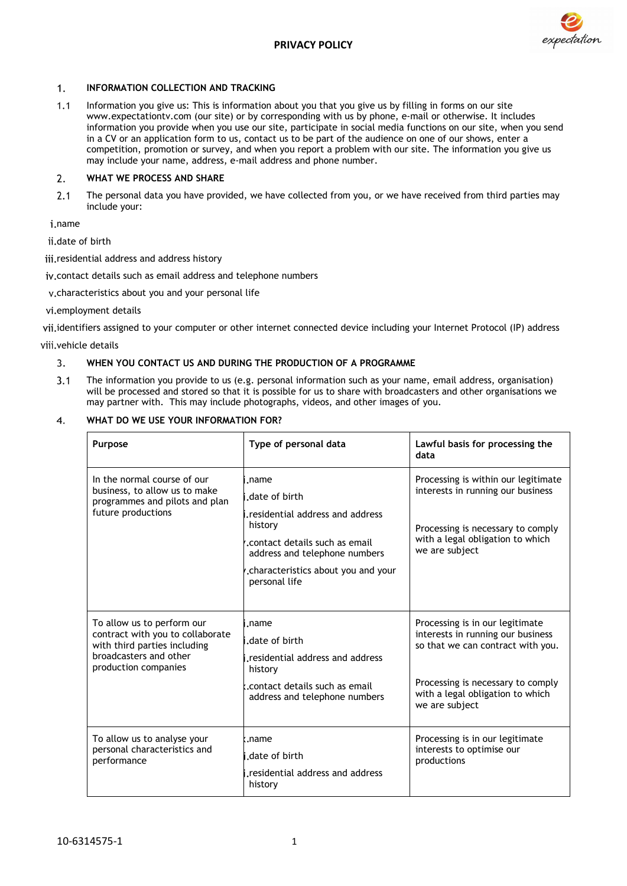

# $1.$ **INFORMATION COLLECTION AND TRACKING**

 $1.1$ Information you give us: This is information about you that you give us by filling in forms on our site www.expectationtv.com (our site) or by corresponding with us by phone, e-mail or otherwise. It includes information you provide when you use our site, participate in social media functions on our site, when you send in a CV or an application form to us, contact us to be part of the audience on one of our shows, enter a competition, promotion or survey, and when you report a problem with our site. The information you give us may include your name, address, e-mail address and phone number.

## **WHAT WE PROCESS AND SHARE**  $2.$

The personal data you have provided, we have collected from you, or we have received from third parties may  $2.1$ include your:

i.name

ii.date of birth

iii.residential address and address history

iv.contact details such as email address and telephone numbers

characteristics about you and your personal life

vi.employment details

vii.identifiers assigned to your computer or other internet connected device including your Internet Protocol (IP) address

viii.vehicle details

#### **WHEN YOU CONTACT US AND DURING THE PRODUCTION OF A PROGRAMME**  $\overline{3}$ .

 $3.1$ The information you provide to us (e.g. personal information such as your name, email address, organisation) will be processed and stored so that it is possible for us to share with broadcasters and other organisations we may partner with. This may include photographs, videos, and other images of you.

#### **WHAT DO WE USE YOUR INFORMATION FOR?**  $\overline{4}$ .

| Purpose                                                                                                                                          | Type of personal data                                                                                                                                                                             | Lawful basis for processing the<br>data                                                                                                                                                              |
|--------------------------------------------------------------------------------------------------------------------------------------------------|---------------------------------------------------------------------------------------------------------------------------------------------------------------------------------------------------|------------------------------------------------------------------------------------------------------------------------------------------------------------------------------------------------------|
| In the normal course of our<br>business, to allow us to make<br>programmes and pilots and plan<br>future productions                             | .name<br>date of birth.<br>residential address and address.<br>history<br>.contact details such as email<br>address and telephone numbers<br>.characteristics about you and your<br>personal life | Processing is within our legitimate<br>interests in running our business<br>Processing is necessary to comply<br>with a legal obligation to which<br>we are subject                                  |
| To allow us to perform our<br>contract with you to collaborate<br>with third parties including<br>broadcasters and other<br>production companies | i.name<br>date of birth.<br>residential address and address.<br>history<br>.contact details such as email<br>address and telephone numbers                                                        | Processing is in our legitimate<br>interests in running our business<br>so that we can contract with you.<br>Processing is necessary to comply<br>with a legal obligation to which<br>we are subject |
| To allow us to analyse your<br>personal characteristics and<br>performance                                                                       | k.name<br>date of birth.<br>residential address and address.<br>history                                                                                                                           | Processing is in our legitimate<br>interests to optimise our<br>productions                                                                                                                          |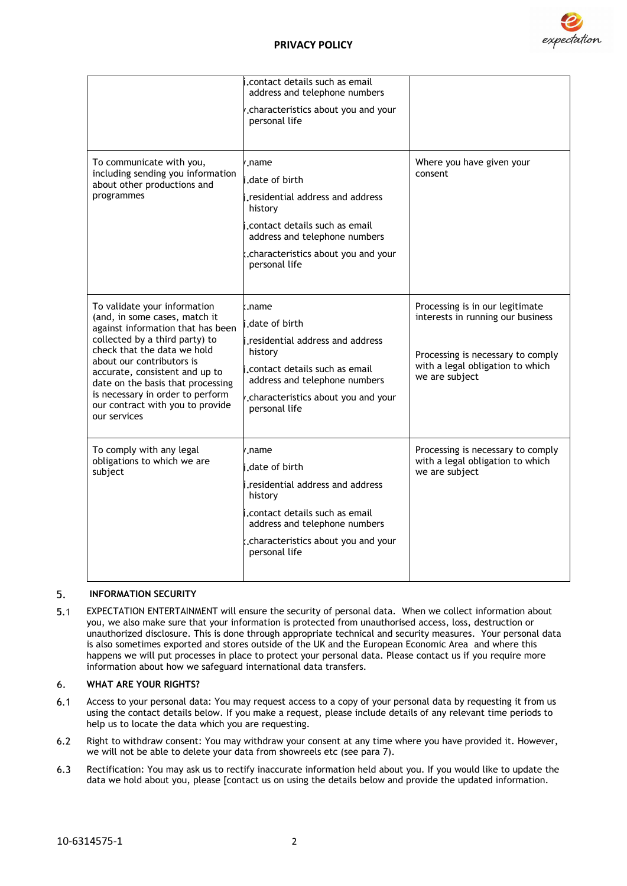

|                                                                                                                                                                                                                                                                                                                                                 | .contact details such as email<br>address and telephone numbers |                                                                                                                                                                 |
|-------------------------------------------------------------------------------------------------------------------------------------------------------------------------------------------------------------------------------------------------------------------------------------------------------------------------------------------------|-----------------------------------------------------------------|-----------------------------------------------------------------------------------------------------------------------------------------------------------------|
|                                                                                                                                                                                                                                                                                                                                                 | .characteristics about you and your<br>personal life            |                                                                                                                                                                 |
|                                                                                                                                                                                                                                                                                                                                                 |                                                                 |                                                                                                                                                                 |
| To communicate with you,<br>including sending you information<br>about other productions and<br>programmes                                                                                                                                                                                                                                      | name./                                                          | Where you have given your<br>consent                                                                                                                            |
|                                                                                                                                                                                                                                                                                                                                                 | date of birth.                                                  |                                                                                                                                                                 |
|                                                                                                                                                                                                                                                                                                                                                 | residential address and address.<br>history                     |                                                                                                                                                                 |
|                                                                                                                                                                                                                                                                                                                                                 | contact details such as email.<br>address and telephone numbers |                                                                                                                                                                 |
|                                                                                                                                                                                                                                                                                                                                                 | characteristics about you and your.<br>personal life            |                                                                                                                                                                 |
|                                                                                                                                                                                                                                                                                                                                                 |                                                                 |                                                                                                                                                                 |
| To validate your information<br>(and, in some cases, match it<br>against information that has been<br>collected by a third party) to<br>check that the data we hold<br>about our contributors is<br>accurate, consistent and up to<br>date on the basis that processing<br>is necessary in order to perform<br>our contract with you to provide | .name                                                           | Processing is in our legitimate<br>interests in running our business<br>Processing is necessary to comply<br>with a legal obligation to which<br>we are subject |
|                                                                                                                                                                                                                                                                                                                                                 | date of birth.                                                  |                                                                                                                                                                 |
|                                                                                                                                                                                                                                                                                                                                                 | residential address and address.                                |                                                                                                                                                                 |
|                                                                                                                                                                                                                                                                                                                                                 | history                                                         |                                                                                                                                                                 |
|                                                                                                                                                                                                                                                                                                                                                 | contact details such as email.<br>address and telephone numbers |                                                                                                                                                                 |
|                                                                                                                                                                                                                                                                                                                                                 | .characteristics about you and your<br>personal life            |                                                                                                                                                                 |
| our services                                                                                                                                                                                                                                                                                                                                    |                                                                 |                                                                                                                                                                 |
| To comply with any legal<br>obligations to which we are<br>subject                                                                                                                                                                                                                                                                              | name./                                                          | Processing is necessary to comply<br>with a legal obligation to which<br>we are subject                                                                         |
|                                                                                                                                                                                                                                                                                                                                                 | date of birth.                                                  |                                                                                                                                                                 |
|                                                                                                                                                                                                                                                                                                                                                 | i.residential address and address<br>history                    |                                                                                                                                                                 |
|                                                                                                                                                                                                                                                                                                                                                 | contact details such as email.<br>address and telephone numbers |                                                                                                                                                                 |
|                                                                                                                                                                                                                                                                                                                                                 | .characteristics about you and your<br>personal life            |                                                                                                                                                                 |
|                                                                                                                                                                                                                                                                                                                                                 |                                                                 |                                                                                                                                                                 |

#### 5. **INFORMATION SECURITY**

 $5.1$ EXPECTATION ENTERTAINMENT will ensure the security of personal data. When we collect information about you, we also make sure that your information is protected from unauthorised access, loss, destruction or unauthorized disclosure. This is done through appropriate technical and security measures. Your personal data is also sometimes exported and stores outside of the UK and the European Economic Area and where this happens we will put processes in place to protect your personal data. Please contact us if you require more information about how we safeguard international data transfers.

# 6. **WHAT ARE YOUR RIGHTS?**

- $6.1$ Access to your personal data: You may request access to a copy of your personal data by requesting it from us using the contact details below. If you make a request, please include details of any relevant time periods to help us to locate the data which you are requesting.
- $6.2$ Right to withdraw consent: You may withdraw your consent at any time where you have provided it. However, we will not be able to delete your data from showreels etc (see para 7).
- Rectification: You may ask us to rectify inaccurate information held about you. If you would like to update the  $6.3$ data we hold about you, please [contact us on using the details below and provide the updated information.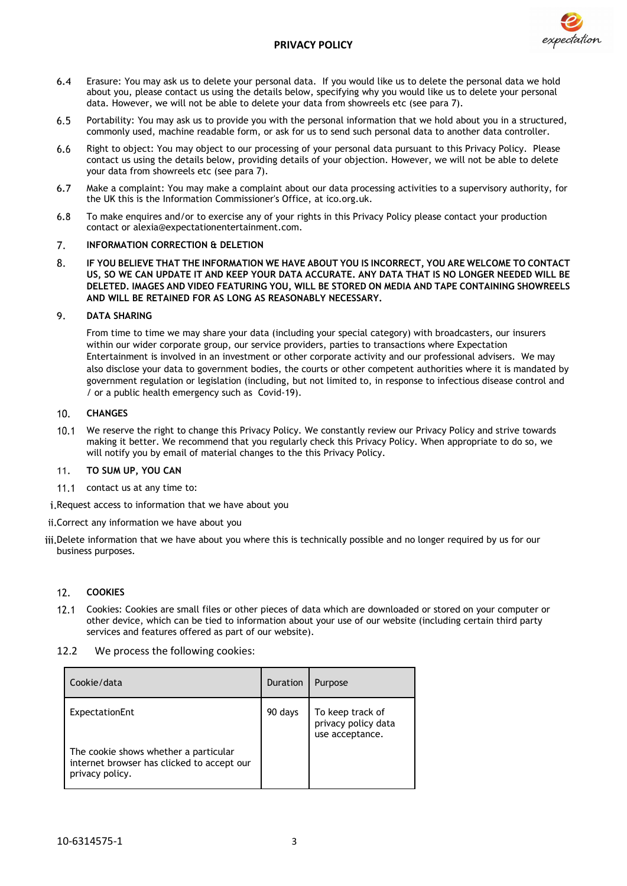

# **PRIVACY POLICY**

- Erasure: You may ask us to delete your personal data. If you would like us to delete the personal data we hold 64 about you, please contact us using the details below, specifying why you would like us to delete your personal data. However, we will not be able to delete your data from showreels etc (see para 7).
- Portability: You may ask us to provide you with the personal information that we hold about you in a structured,  $6.5$ commonly used, machine readable form, or ask for us to send such personal data to another data controller.
- 6.6 Right to object: You may object to our processing of your personal data pursuant to this Privacy Policy. Please contact us using the details below, providing details of your objection. However, we will not be able to delete your data from showreels etc (see para 7).
- $6.7$ Make a complaint: You may make a complaint about our data processing activities to a supervisory authority, for the UK this is the Information Commissioner's Office, at ico.org.uk.
- $6.8$ To make enquires and/or to exercise any of your rights in this Privacy Policy please contact your production contact or alexia@expectationentertainment.com.

#### **INFORMATION CORRECTION & DELETION** 7.

8. **IF YOU BELIEVE THAT THE INFORMATION WE HAVE ABOUT YOU IS INCORRECT, YOU ARE WELCOME TO CONTACT US, SO WE CAN UPDATE IT AND KEEP YOUR DATA ACCURATE. ANY DATA THAT IS NO LONGER NEEDED WILL BE DELETED. IMAGES AND VIDEO FEATURING YOU, WILL BE STORED ON MEDIA AND TAPE CONTAINING SHOWREELS AND WILL BE RETAINED FOR AS LONG AS REASONABLY NECESSARY.**

#### **DATA SHARING**  $\mathsf{Q}$

From time to time we may share your data (including your special category) with broadcasters, our insurers within our wider corporate group, our service providers, parties to transactions where Expectation Entertainment is involved in an investment or other corporate activity and our professional advisers. We may also disclose your data to government bodies, the courts or other competent authorities where it is mandated by government regulation or legislation (including, but not limited to, in response to infectious disease control and / or a public health emergency such as Covid-19).

#### $10.$ **CHANGES**

 $10.1$ We reserve the right to change this Privacy Policy. We constantly review our Privacy Policy and strive towards making it better. We recommend that you regularly check this Privacy Policy. When appropriate to do so, we will notify you by email of material changes to the this Privacy Policy.

## **TO SUM UP, YOU CAN**  $11$

11.1 contact us at any time to:

i. Request access to information that we have about you

ii. Correct any information we have about you

iii. Delete information that we have about you where this is technically possible and no longer required by us for our business purposes.

# **COOKIES**  $12.$

- $12.1$ Cookies: Cookies are small files or other pieces of data which are downloaded or stored on your computer or other device, which can be tied to information about your use of our website (including certain third party services and features offered as part of our website).
- 12.2 We process the following cookies:

| Cookie/data                                                                                            | Duration | Purpose                                                    |
|--------------------------------------------------------------------------------------------------------|----------|------------------------------------------------------------|
| ExpectationEnt                                                                                         | 90 days  | To keep track of<br>privacy policy data<br>use acceptance. |
| The cookie shows whether a particular<br>internet browser has clicked to accept our<br>privacy policy. |          |                                                            |